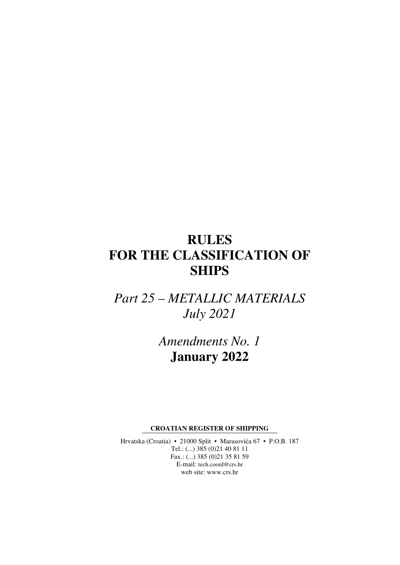# **RULES FOR THE CLASSIFICATION OF SHIPS**

*Part 25 – METALLIC MATERIALS July 2021* 

> *Amendments No. 1*  **January 2022**

**CROATIAN REGISTER OF SHIPPING** 

Hrvatska (Croatia) • 21000 Split • Marasovića 67 • P.O.B. 187 Tel.: (...) 385 (0)21 40 81 11 Fax.: (...) 385 (0)21 35 81 59 E-mail: tech.coord@crs.hr web site: www.crs.hr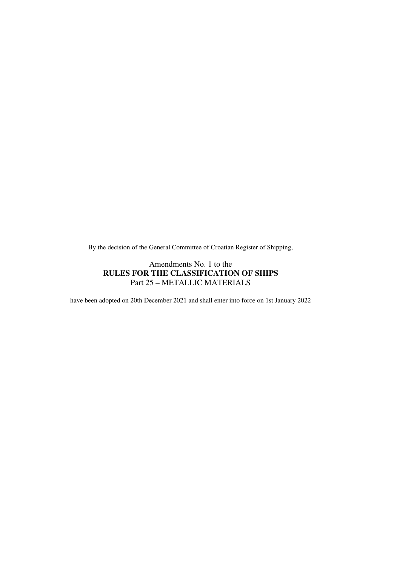By the decision of the General Committee of Croatian Register of Shipping,

#### Amendments No. 1 to the **RULES FOR THE CLASSIFICATION OF SHIPS**  Part 25 – METALLIC MATERIALS

have been adopted on 20th December 2021 and shall enter into force on 1st January 2022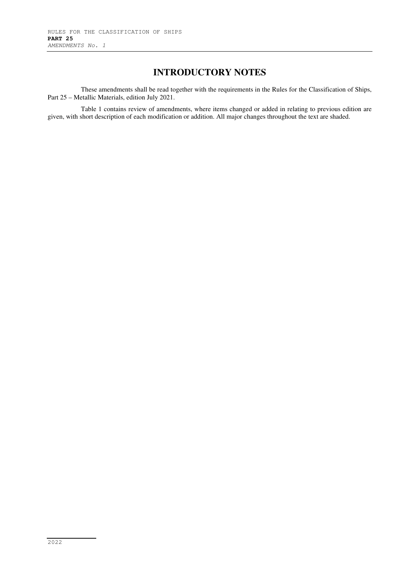### **INTRODUCTORY NOTES**

These amendments shall be read together with the requirements in the Rules for the Classification of Ships, Part 25 – Metallic Materials, edition July 2021.

Table 1 contains review of amendments, where items changed or added in relating to previous edition are given, with short description of each modification or addition. All major changes throughout the text are shaded.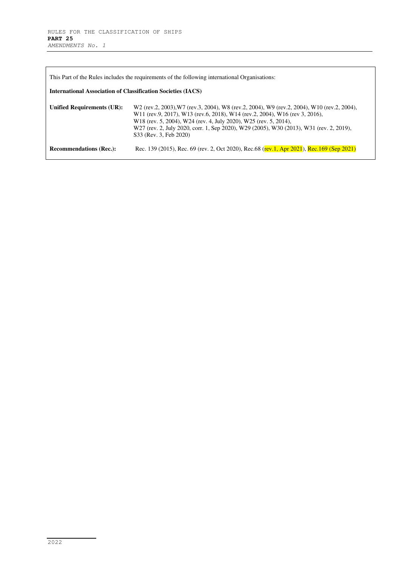| This Part of the Rules includes the requirements of the following international Organisations: |                                                                                                                                                                                                                                                                                                                                                                                                                                |  |
|------------------------------------------------------------------------------------------------|--------------------------------------------------------------------------------------------------------------------------------------------------------------------------------------------------------------------------------------------------------------------------------------------------------------------------------------------------------------------------------------------------------------------------------|--|
| <b>International Association of Classification Societies (IACS)</b>                            |                                                                                                                                                                                                                                                                                                                                                                                                                                |  |
| Unified Requirements (UR):                                                                     | W <sub>2</sub> (rev.2, 2003), W <sub>7</sub> (rev.3, 2004), W <sub>8</sub> (rev.2, 2004), W <sub>9</sub> (rev.2, 2004), W <sub>10</sub> (rev.2, 2004),<br>W11 (rev.9, 2017), W13 (rev.6, 2018), W14 (rev.2, 2004), W16 (rev 3, 2016),<br>W18 (rev. 5, 2004), W24 (rev. 4, July 2020), W25 (rev. 5, 2014),<br>W27 (rev. 2, July 2020, corr. 1, Sep 2020), W29 (2005), W30 (2013), W31 (rev. 2, 2019),<br>S33 (Rev. 3, Feb 2020) |  |
| <b>Recommendations (Rec.):</b>                                                                 | Rec. 139 (2015), Rec. 69 (rev. 2, Oct 2020), Rec. 68 (rev. 1, Apr 2021), Rec. 169 (Sep 2021)                                                                                                                                                                                                                                                                                                                                   |  |

L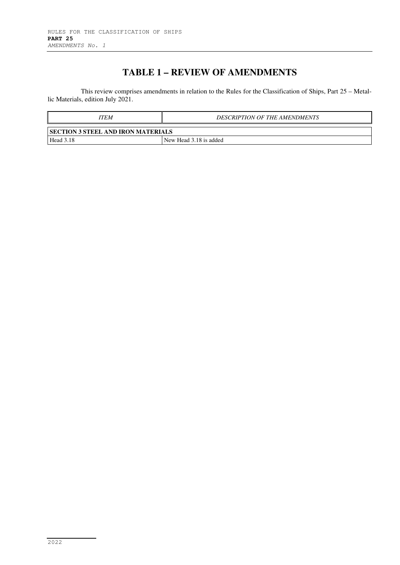## **TABLE 1 – REVIEW OF AMENDMENTS**

This review comprises amendments in relation to the Rules for the Classification of Ships, Part 25 – Metallic Materials, edition July 2021.

| ITEM                                      | <b>DESCRIPTION OF THE AMENDMENTS</b> |  |
|-------------------------------------------|--------------------------------------|--|
| <b>SECTION 3 STEEL AND IRON MATERIALS</b> |                                      |  |
| Head 3.18                                 | New Head 3.18 is added               |  |